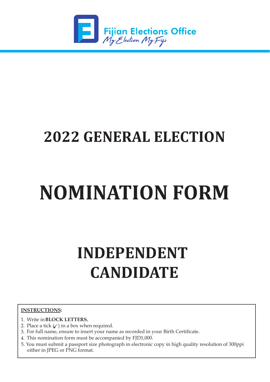

## **2022 GENERAL ELECTION**

# **NOMINATION FORM**

# **INDEPENDENT CANDIDATE**

### **INSTRUCTIONS:**

- 1. Write in **BLOCK LETTERS.**
- 2. Place a tick  $(\angle)$  in a box when required.
- 3. For full name, ensure to insert your name as recorded in your Birth Certificate.
- 4. This nomination form must be accompanied by FJD1,000.
- 5. You must submit a passport size photograph in electronic copy in high quality resolution of 300ppi either in JPEG or PNG format.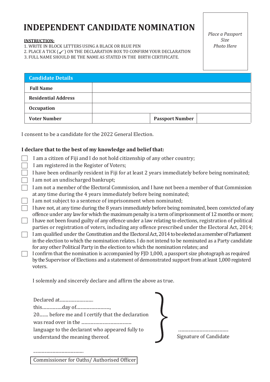### **INDEPENDENT CANDIDATE NOMINATION**

### **INSTRUCTION:**

1. WRITE IN BLOCK LETTERS USING A BLACK OR BLUE PEN

2. PLACE A TICK  $(\checkmark)$  on the declaration box to confirm your declaration

3. FULL NAME SHOULD BE THE NAME AS STATED IN THE BIRTH CERTIFICATE.

*Place a Passport Size Photo Here*

| <b>Candidate Details</b>   |                        |
|----------------------------|------------------------|
| <b>Full Name</b>           |                        |
| <b>Residential Address</b> |                        |
| <b>Occupation</b>          |                        |
| <b>Voter Number</b>        | <b>Passport Number</b> |

I consent to be a candidate for the 2022 General Election.

### **I declare that to the best of my knowledge and belief that:**

- I am a citizen of Fiji and I do not hold citizenship of any other country;
- I am registered in the Register of Voters;

I have been ordinarily resident in Fiji for at least 2 years immediately before being nominated;

- I am not an undischarged bankrupt;
- I am not a member of the Electoral Commission, and I have not been a member of that Commission at any time during the 4 years immediately before being nominated;
- I am not subject to a sentence of imprisonment when nominated;
- I have not, at any time during the 8 years immediately before being nominated, been convicted of any offence under any law for which the maximum penalty is a term of imprisonment of 12 months or more;  $\Box$  I have not been found guilty of any offence under a law relating to elections, registration of political
- parties or registration of voters, including any offence prescribed under the Electoral Act, 2014;
- I am qualified under the Constitution and the Electoral Act, 2014 to be elected as a member of Parliament in the election to which the nomination relates. I do not intend to be nominated as a Party candidate for any other Political Party in the election to which the nomination relates; and

I confirm that the nomination is accompanied by FJD 1,000, a passport size photograph as required by the Supervisor of Elections and a statement of demonstrated support from at least 1,000 registerd voters.

I solemnly and sincerely declare and affirm the above as true.

| Declared at                                                                        |                        |
|------------------------------------------------------------------------------------|------------------------|
|                                                                                    |                        |
| 20 before me and I certify that the declaration<br>was read over in the            |                        |
| language to the declarant who appeared fully to<br>understand the meaning thereof. | Signature of Candidate |

Commissioner for Oaths/Authorised Officer

.............................................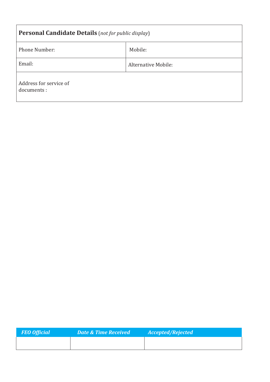| <b>Personal Candidate Details</b> (not for public display) |                            |  |
|------------------------------------------------------------|----------------------------|--|
| <b>Phone Number:</b>                                       | Mobile:                    |  |
| Email:                                                     | <b>Alternative Mobile:</b> |  |
| Address for service of<br>documents :                      |                            |  |

| <b>FEO Official</b> | <b>Date &amp; Time Received</b> | <b>Accepted/Rejected</b> |
|---------------------|---------------------------------|--------------------------|
|                     |                                 |                          |